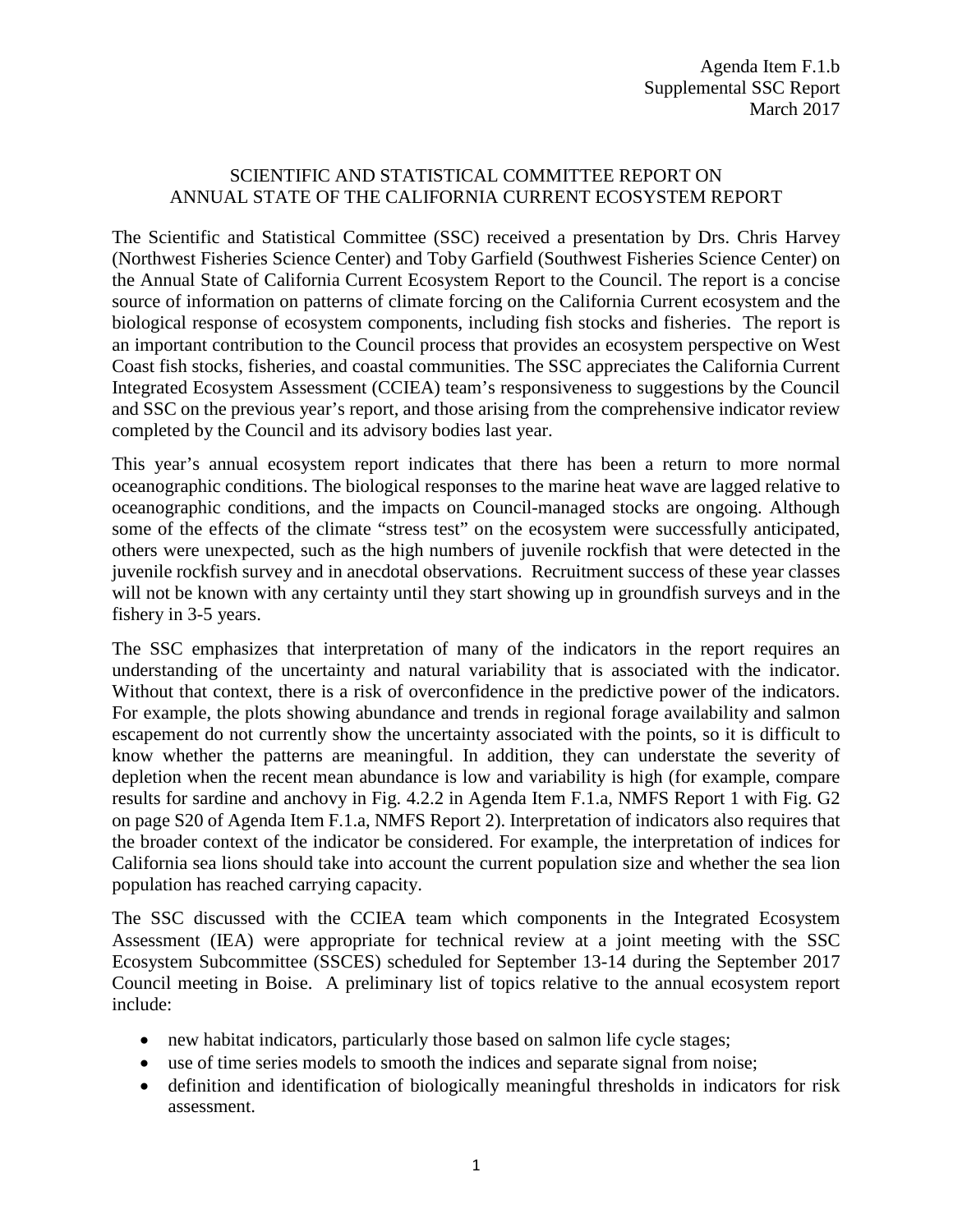## SCIENTIFIC AND STATISTICAL COMMITTEE REPORT ON ANNUAL STATE OF THE CALIFORNIA CURRENT ECOSYSTEM REPORT

The Scientific and Statistical Committee (SSC) received a presentation by Drs. Chris Harvey (Northwest Fisheries Science Center) and Toby Garfield (Southwest Fisheries Science Center) on the Annual State of California Current Ecosystem Report to the Council. The report is a concise source of information on patterns of climate forcing on the California Current ecosystem and the biological response of ecosystem components, including fish stocks and fisheries. The report is an important contribution to the Council process that provides an ecosystem perspective on West Coast fish stocks, fisheries, and coastal communities. The SSC appreciates the California Current Integrated Ecosystem Assessment (CCIEA) team's responsiveness to suggestions by the Council and SSC on the previous year's report, and those arising from the comprehensive indicator review completed by the Council and its advisory bodies last year.

This year's annual ecosystem report indicates that there has been a return to more normal oceanographic conditions. The biological responses to the marine heat wave are lagged relative to oceanographic conditions, and the impacts on Council-managed stocks are ongoing. Although some of the effects of the climate "stress test" on the ecosystem were successfully anticipated, others were unexpected, such as the high numbers of juvenile rockfish that were detected in the juvenile rockfish survey and in anecdotal observations. Recruitment success of these year classes will not be known with any certainty until they start showing up in groundfish surveys and in the fishery in 3-5 years.

The SSC emphasizes that interpretation of many of the indicators in the report requires an understanding of the uncertainty and natural variability that is associated with the indicator. Without that context, there is a risk of overconfidence in the predictive power of the indicators. For example, the plots showing abundance and trends in regional forage availability and salmon escapement do not currently show the uncertainty associated with the points, so it is difficult to know whether the patterns are meaningful. In addition, they can understate the severity of depletion when the recent mean abundance is low and variability is high (for example, compare results for sardine and anchovy in Fig. 4.2.2 in Agenda Item F.1.a, NMFS Report 1 with Fig. G2 on page S20 of Agenda Item F.1.a, NMFS Report 2). Interpretation of indicators also requires that the broader context of the indicator be considered. For example, the interpretation of indices for California sea lions should take into account the current population size and whether the sea lion population has reached carrying capacity.

The SSC discussed with the CCIEA team which components in the Integrated Ecosystem Assessment (IEA) were appropriate for technical review at a joint meeting with the SSC Ecosystem Subcommittee (SSCES) scheduled for September 13-14 during the September 2017 Council meeting in Boise. A preliminary list of topics relative to the annual ecosystem report include:

- new habitat indicators, particularly those based on salmon life cycle stages;
- use of time series models to smooth the indices and separate signal from noise;
- definition and identification of biologically meaningful thresholds in indicators for risk assessment.